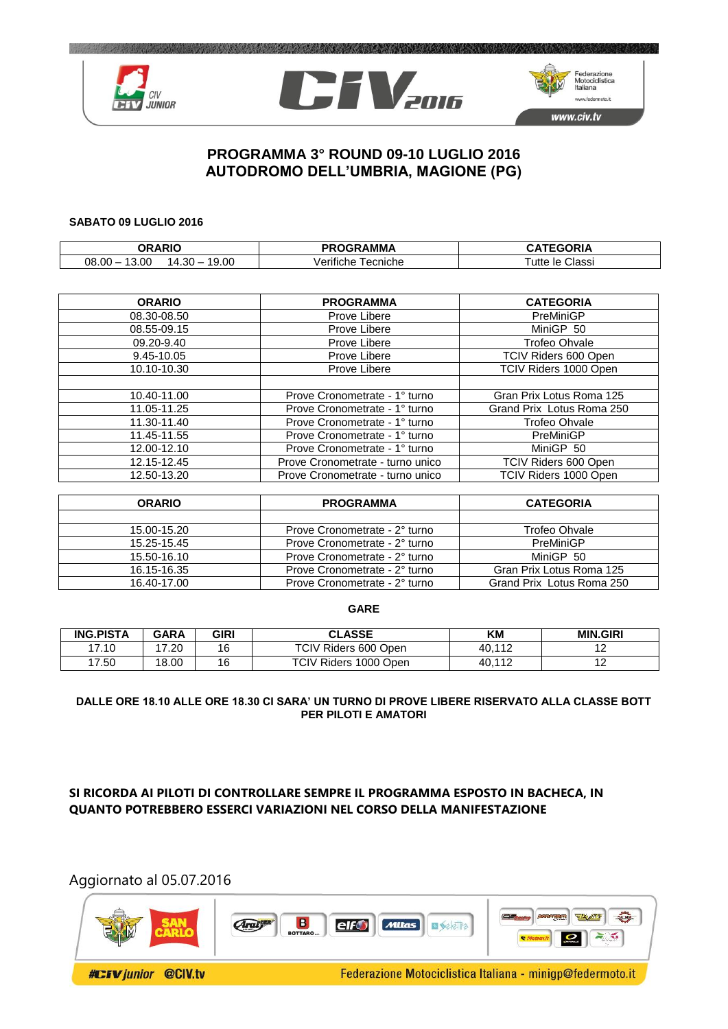





# **PROGRAMMA 3° ROUND 09-10 LUGLIO 2016 AUTODROMO DELL'UMBRIA, MAGIONE (PG)**

#### **SABATO 09 LUGLIO 2016**

| ORARIO                                 | <b>OGRAMMA</b><br>םכ | <b>TEAADIA</b><br>40 E |
|----------------------------------------|----------------------|------------------------|
| 9.00<br>. 30<br>$08.00 -$<br>.oc<br>14 | ecniche<br>verifiche | le Classi<br>utte      |

| <b>ORARIO</b> | <b>PROGRAMMA</b>                      | <b>CATEGORIA</b>          |  |
|---------------|---------------------------------------|---------------------------|--|
| 08.30-08.50   | Prove Libere                          | PreMiniGP                 |  |
| 08.55-09.15   | Prove Libere                          | MiniGP 50                 |  |
| 09.20-9.40    | Prove Libere                          | <b>Trofeo Ohvale</b>      |  |
| 9.45-10.05    | Prove Libere                          | TCIV Riders 600 Open      |  |
| 10.10-10.30   | TCIV Riders 1000 Open<br>Prove Libere |                           |  |
|               |                                       |                           |  |
| 10.40-11.00   | Prove Cronometrate - 1° turno         | Gran Prix Lotus Roma 125  |  |
| 11.05-11.25   | Prove Cronometrate - 1° turno         | Grand Prix Lotus Roma 250 |  |
| 11.30-11.40   | Prove Cronometrate - 1° turno         | <b>Trofeo Ohvale</b>      |  |
| 11.45-11.55   | Prove Cronometrate - 1° turno         | PreMiniGP                 |  |
| 12.00-12.10   | Prove Cronometrate - 1° turno         | MiniGP 50                 |  |
| 12.15-12.45   | Prove Cronometrate - turno unico      | TCIV Riders 600 Open      |  |
| 12.50-13.20   | Prove Cronometrate - turno unico      | TCIV Riders 1000 Open     |  |

| <b>ORARIO</b> | <b>PROGRAMMA</b>              | <b>CATEGORIA</b>          |  |
|---------------|-------------------------------|---------------------------|--|
|               |                               |                           |  |
| 15.00-15.20   | Prove Cronometrate - 2° turno | Trofeo Ohvale             |  |
| 15.25-15.45   | Prove Cronometrate - 2° turno | PreMiniGP                 |  |
| 15.50-16.10   | Prove Cronometrate - 2° turno | MiniGP 50                 |  |
| 16.15-16.35   | Prove Cronometrate - 2° turno | Gran Prix Lotus Roma 125  |  |
| 16.40-17.00   | Prove Cronometrate - 2° turno | Grand Prix Lotus Roma 250 |  |

#### **GARE**

| <b>ING.PISTA</b> | <b>GARA</b> | <b>GIRI</b> | <b>CLASSE</b>                    | ΚM     | <b>MIN.GIRI</b>     |
|------------------|-------------|-------------|----------------------------------|--------|---------------------|
| 17.10            | .20         | 16          | <b>TCIV</b><br>/ Riders 600 Open | 40.11  | $\overline{1}$<br>. |
| 17.50            | 8.00<br>1 O | 16          | <b>TCIV Riders</b><br>1000 Open  | 40,112 | $\sim$<br>$\sim$    |

### **DALLE ORE 18.10 ALLE ORE 18.30 CI SARA' UN TURNO DI PROVE LIBERE RISERVATO ALLA CLASSE BOTT PER PILOTI E AMATORI**

## **SI RICORDA AI PILOTI DI CONTROLLARE SEMPRE IL PROGRAMMA ESPOSTO IN BACHECA, IN QUANTO POTREBBERO ESSERCI VARIAZIONI NEL CORSO DELLA MANIFESTAZIONE**

# Aggiornato al 05.07.2016